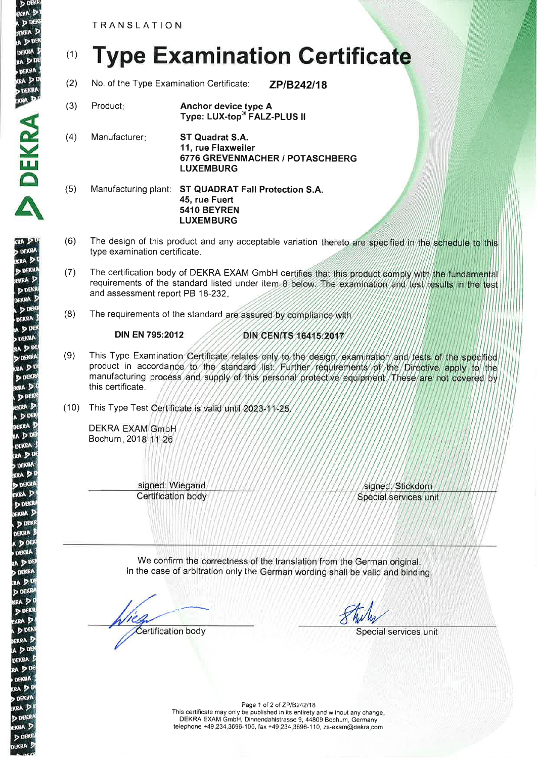TRANSLATION

&

KRA D **DEK** 

 $D<sub>D</sub>$ **WKRA** u Du DEKRA ea D 0

**DEKR** 

A

19A D **DEKR** KRA J **DEK FKRA** DDE DEKRA  $D$ <sup>DE</sup>

> DEKRA ADD

**PAD DEKI GRA P** DDE kra 3 DD **EKRA** 

**RA** 20 DEKRA kra D **D DEKR** 

KRA D

D DEKR **FKRA DEK DEKRA DOI DEKR** ADD

d dek

DDE ekra ! A DOE **DEKRA** RA DDI DEKRA RA<sub>D</sub> **DEKRI** KRA D **D. DEKRI** EKRA D D DEKR **JEKRA** 

(1) Type Examination Gertificate

- (2) No. of the Type Examination Certificate: **ZP/B242/18**
- (3) Product Anchor device type A Type: LUX-top<sup>®</sup> FALZ-PLUS II
- (4) Manufacturer ST Quadrat S.A. 11, rue Flaxweiler 6776 GREVENMACHER / POTASCHBERG LUXEMBURG
- (5) Manufacturing plant: ST QUADRAT Fall Protection S.A. 45, rue Fuert 5410 BEYREN LUXEMBURG
- (6) The design of this product and any acceptable variation thereto are specified in the schedule to this type examination certificate.
- (7) The certification body of DEKRA EXAM GmbH certifies that this product comply with the fundamental requirements of the standard listed under item 8 below. The examination and test results in the test and assessment report PB 18-232
- (8) The requirements of the standard are assured by compliance with

## DIN EN 795:2012

## DIN CEN/TS 16415:2017

- (9) This Type Examination Certificate relates only to the design, examination and tests of the specified product in accordance to the standard list. Further requirements of the Directive apply to the manufacturing process and supply of this personal protective equipment. These are not covered by this certificate.
- (10) This Type Test Certificate is valid until 2023-11-25

**DEKRA EXAM GmbH** Bochum 201

> signed: Wiegand Certification body

signed: Stickdorn Special services unit

We confirm the correctness of the translation from the German original In the case of arbitration only the German wording shall be valid and binding.

Certification body Special services unit

Page 1 of 2 of ZPIB242|18 This certificate may only be published in its entirety and without any change DEKRA EXAM GmbH, Dinnendahlstrasse 9, 44809 Bochum, Germany telephone +49.234.3696-1 05, fax +49.234.3696-1 1 0, zs-exam@dekra.com